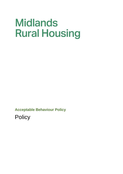# **Midlands Rural Housing**

**Acceptable Behaviour Policy**

**Policy**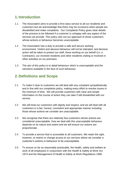#### **1. Introduction**

- 1.1 The Association aims to provide a first-class service to all our residents and customers but we acknowledge that there may be occasions when people are dissatisfied and make complaints. Our Complaints Policy gives clear details of the process to be followed if a customer is unhappy with any aspect of the services we provide. *This policy* sets out our approach to those customers whose actions or behaviour becomes unacceptable.
- 1.2 The Association has a duty to provide a safe and secure working environment. Violent and abusive behaviour will not be tolerated, and decisive action will be taken to protect our staff, those working on our behalf (i.e. a Contractor), our involved residents and other residents visiting or involved in other activities on our premises.
- 1.3 The aim of this policy is to detail behaviour which is unacceptable and the sanctions available in the face of such behaviour.

## **2. Definitions and Scope**

- 2.1 To make it clear to customers we will deal with any complaint sympathetically and in line with our complaints policy, making every effort to resolve issues in the minimum of time. We will provide customers with clear and simple information on the course of action they can take if still dissatisfied with our service.
- 2.2 We will treat our customers with dignity and respect, and we will deal with all customers in a fair, honest, consistent and appropriate manner including those whose actions we consider are unacceptable.
- 2.3 We recognise that there are relatively few customers whose actions are considered unacceptable. How we deal with this unacceptable behaviour depends on its nature and extent and we will ensure our actions are proportionate.
- 2.4 To provide a service that is accessible to all customers. We retain the right, however, to restrict or change access to our services where we consider a customer's actions or behaviour to be unacceptable.
- 2.5 To ensure so far as reasonably practicable, the health, safety and welfare at work of all employees in conjunction with the Health & Safety at Work Act 1974 and the Management of Health & Safety at Work Regulations 1999.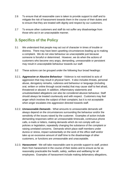- 2.6 To ensure that all reasonable care is taken to provide support to staff and to mitigate the risk of harassment towards them in the course of their duties and to ensure that they are treated with dignity and respect by our customers.
- 2.7 To ensure other customers and staff do not suffer any disadvantage from those who act in an unacceptable manner.

# **3. Specifics of the Policy**

- 3.1 We understand that people may act out of character in times of trouble or distress. There may have been upsetting circumstances leading up to making a complaint. We do not view behaviour as unacceptable just because someone is forceful or determined. However, we do when the actions of customers who become very angry, demanding, unreasonable or persistent may result in unacceptable behaviour towards our staff.
- 3.2 These actions can be grouped under the following four broad headings:
- 3.2.1. *Aggressive or Abusive Behaviour* Violence is not restricted to acts of aggression that may result in physical harm. It also includes threats, personal abuse, derogatory remarks, rudeness and behaviour or language (including oral, written or online through social media) that may cause staff to feel afraid, threatened or abused. In addition, inflammatory statements and unsubstantiated allegations can also be considered abusive behaviour. Staff should always be treated courteously and with respect. Customers may feel anger which involves the subject of their complaint, but it is not acceptable when anger escalates into aggression directed towards staff.
- 3.2.2. *Unreasonable Demands* What amounts to unreasonable demands will always depend on the circumstances surrounding the behaviour and/or the sensitivity of the issues raised by the customer. Examples of action include demanding responses within an unreasonable timescale, continuous phone calls, e-mails or letters, making demands which do not comply with our policies or legislation, repeatedly changing the substance of the complaint or raising unrelated concerns. Demands which place staff members under duress or stress, impact substantially on the work of the office staff and/or take up an excessive amount of staff time to the disadvantage of other customers, or functions are unreasonable and unacceptable.
- 3.2.3. *Harassment* We will take reasonable care to provide support to staff, protect them from harassment in the course of their duties and to ensure as far as reasonably practicable the health, safety, welfare and wellbeing for all employees. Examples of harassment include making defamatory allegations,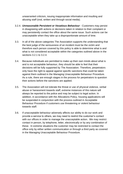unwarranted criticism, issuing inappropriate information and insulting and abusing staff (oral, written and through social media).

- 3.2.4. *Unreasonable Persistent or Vexatious Behaviour* Customers may persist in disagreeing with actions or decisions taken in relation to their complaint or may persistently contact the office about the same issue. Such actions can be unacceptable when they take up a disproportionate amount of time.
- 3.3. In all of the above categories The Association supports the understanding that the best judge of the seriousness of an incident must be the victim and therefore each person covered by this policy is able to determine what is and what is not considered acceptable within the categories outlined above in the sections 3.2.1 to 3.2.4.
- 3.4. Because individuals are permitted to make up their own minds about what is and is not acceptable behaviour, they should be able to feel that their decisions will be fully supported by The Association. Therefore, perpetrators only have the right to appeal against specific sanctions that could be taken against them outlined in the Managing Unacceptable Behaviour Procedure. As a rule, there are enough stages in the process for perpetrators to question their actions before the sanctions are applied.
- 3.5. The Association will not tolerate the threat or use of physical violence, verbal abuse or harassment towards staff, extreme instances of this nature will always be reported to the police and may be subject to legal action. In addition, in accordance with the Allocations Policy, housing applications will be suspended in conjunction with the process outlined in Acceptable Behaviour Procedure if customers use threatening or violent behaviour towards staff.
- 3.6. If unacceptable behaviour adversely affects our ability to do our work and provide a service to others, we may need to restrict the customer's contact with our offices in order to manage the unacceptable action. We may restrict contact in person, by telephone, letter, electronically or by any combination of these. In extreme situations the customer may be restricted to contact the office only by either written communication or through a third party as covered in the Managing Unacceptable Behaviour Procedure.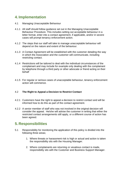## **4. Implementation**

- 4.1 Managing Unacceptable Behaviour
- 4.1.1 All staff should follow guidance set out in the Managing Unacceptable Behaviour Procedure. This includes setting out acceptable behaviour in a letter format, enter into a contact agreement, if applicable, and/or in severe cases will prompt tenancy enforcement action.
- 4.1.2 The steps that our staff will take to manage unacceptable behaviour will depend on the nature and extent of the behaviour.
- 4.1.3 A Contact Agreement will be established with the customer detailing the way in which the Association and the customer will communicate, including restricting contact.
- 4.1.4 Restrictions will be tailored to deal with the individual circumstances of the complainant and may include for example only dealing with the complainant by telephone through a third party or other advocate or friend acting on their behalf
- 4.1.5 For regular or serious cases of unacceptable behaviour, tenancy enforcement action will commence.

#### 4.2 **The Right to Appeal a Decision to Restrict Contact**

- 4.2.1 Customers have the right to appeal a decision to restrict contact and will be informed how to do this as part of the contact agreement.
- 4.2.2 A senior member of staff who was not involved in the original decision will consider the appeal. He/she will advise the customer in writing that either the restricted contact arrangements still apply, or a different course of action has been agreed.

#### **5. Responsibilities**

- 5.1 Responsibility for monitoring the application of this policy is divided into the following three areas;
	- 1. Where threats or harassment risk is high or actual and action is taken the responsibility sits with the Housing Manager.
	- 2. Where complainants are returning or vexatious contact is made, responsibility sits with the Customer and Business Support Manager.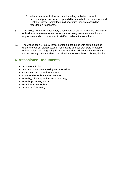- 3. Where near miss incidents occur including verbal abuse and threatened physical harm, responsibility sits with the line manager and Health & Safety Committees. (All near miss incidents should be recorded on Assessnet.)
- 5.2 This Policy will be reviewed every three years or earlier in line with legislative or business requirements with amendments being made, consultation as appropriate and communicated to staff and relevant stakeholders.
- 5.3 The Association Group will treat personal data in line with our obligations under the current data protection regulations and our own Data Protection Policy. Information regarding how customer data will be used and the basis for processing customer data is provided in the Association's Privacy Notice.

#### **6. Associated Documents**

- Allocations Policy
- Anti-Social Behaviour Policy and Procedure
- Complaints Policy and Procedure
- Lone Worker Policy and Procedure
- Equality, Diversity and Inclusion Strategy
- Equal Opportunity Policy
- Health & Safety Policy
- Visiting Safely Policy